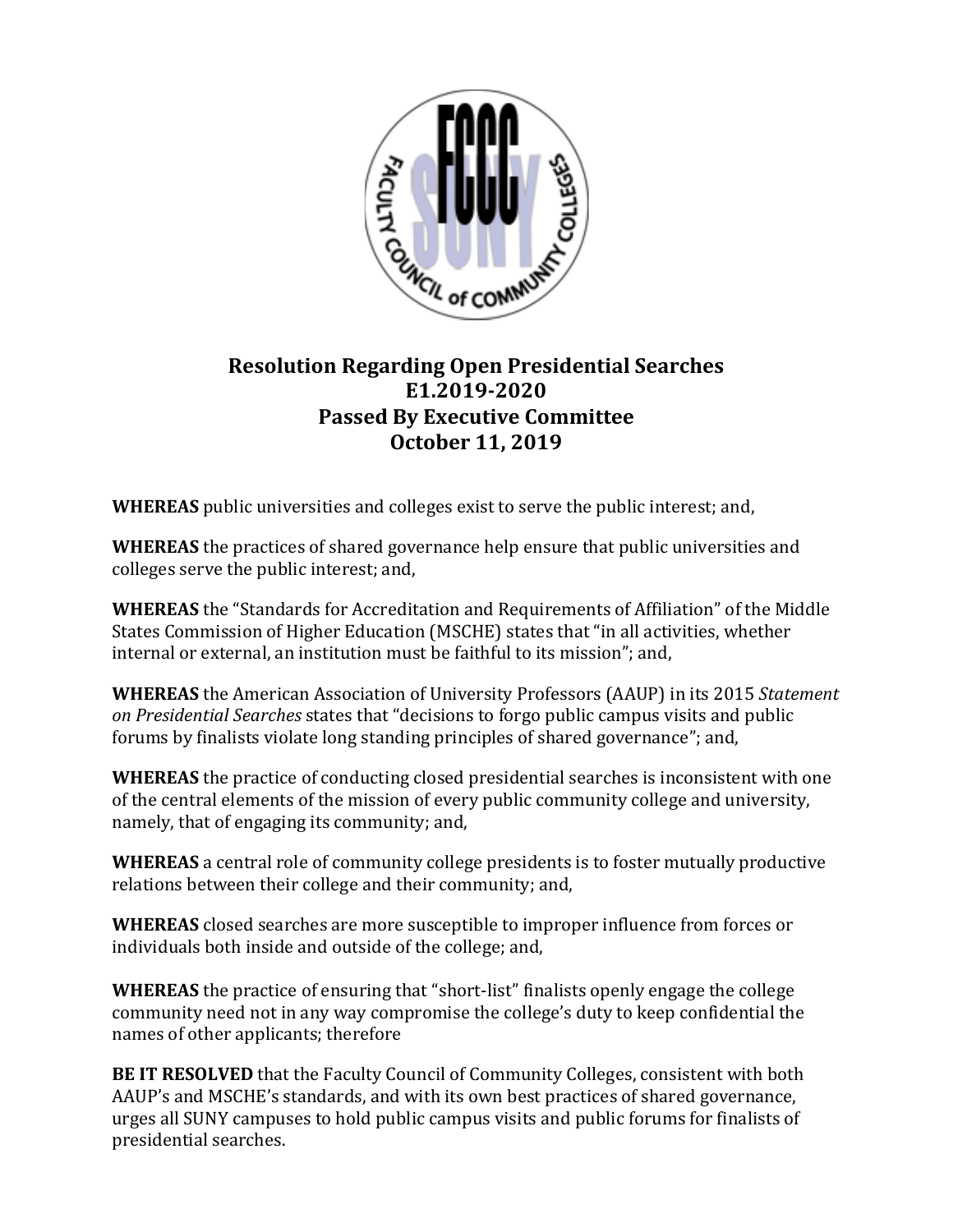

## **Resolution Regarding Open Presidential Searches E1.2019-2020 Passed By Executive Committee October 11, 2019**

**WHEREAS** public universities and colleges exist to serve the public interest; and,

**WHEREAS** the practices of shared governance help ensure that public universities and colleges serve the public interest; and,

**WHEREAS** the "Standards for Accreditation and Requirements of Affiliation" of the Middle States Commission of Higher Education (MSCHE) states that "in all activities, whether internal or external, an institution must be faithful to its mission"; and,

**WHEREAS** the American Association of University Professors (AAUP) in its 2015 *Statement on Presidential Searches* states that "decisions to forgo public campus visits and public forums by finalists violate long standing principles of shared governance"; and,

**WHEREAS** the practice of conducting closed presidential searches is inconsistent with one of the central elements of the mission of every public community college and university, namely, that of engaging its community; and,

**WHEREAS** a central role of community college presidents is to foster mutually productive relations between their college and their community; and,

**WHEREAS** closed searches are more susceptible to improper influence from forces or individuals both inside and outside of the college; and,

**WHEREAS** the practice of ensuring that "short-list" finalists openly engage the college community need not in any way compromise the college's duty to keep confidential the names of other applicants; therefore

**BE IT RESOLVED** that the Faculty Council of Community Colleges, consistent with both AAUP's and MSCHE's standards, and with its own best practices of shared governance, urges all SUNY campuses to hold public campus visits and public forums for finalists of presidential searches.